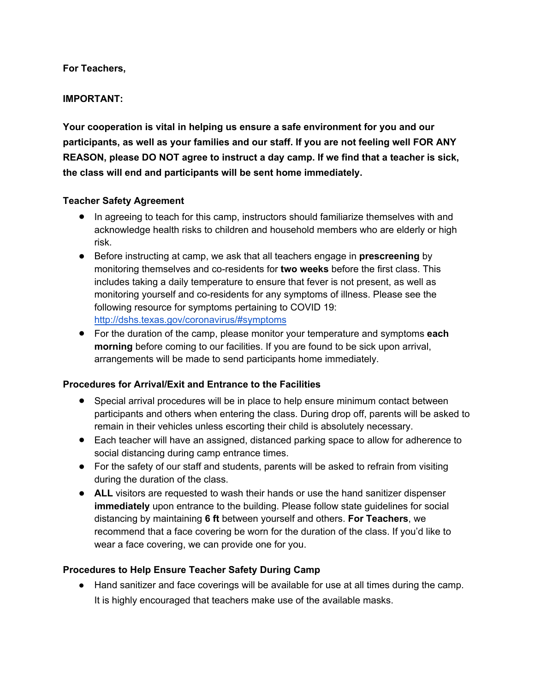**For Teachers,**

### **IMPORTANT:**

**Your cooperation is vital in helping us ensure a safe environment for you and our participants, as well as your families and our staff. If you are not feeling well FOR ANY REASON, please DO NOT agree to instruct a day camp. If we find that a teacher is sick, the class will end and participants will be sent home immediately.** 

### **Teacher Safety Agreement**

- In agreeing to teach for this camp, instructors should familiarize themselves with and acknowledge health risks to children and household members who are elderly or high risk.
- Before instructing at camp, we ask that all teachers engage in **prescreening** by monitoring themselves and co-residents for **two weeks** before the first class. This includes taking a daily temperature to ensure that fever is not present, as well as monitoring yourself and co-residents for any symptoms of illness. Please see the following resource for symptoms pertaining to COVID 19: http://dshs.texas.gov/coronavirus/#symptoms
- For the duration of the camp, please monitor your temperature and symptoms **each morning** before coming to our facilities. If you are found to be sick upon arrival, arrangements will be made to send participants home immediately.

# **Procedures for Arrival/Exit and Entrance to the Facilities**

- Special arrival procedures will be in place to help ensure minimum contact between participants and others when entering the class. During drop off, parents will be asked to remain in their vehicles unless escorting their child is absolutely necessary.
- Each teacher will have an assigned, distanced parking space to allow for adherence to social distancing during camp entrance times.
- For the safety of our staff and students, parents will be asked to refrain from visiting during the duration of the class.
- **ALL** visitors are requested to wash their hands or use the hand sanitizer dispenser **immediately** upon entrance to the building. Please follow state guidelines for social distancing by maintaining **6 ft** between yourself and others. **For Teachers**, we recommend that a face covering be worn for the duration of the class. If you'd like to wear a face covering, we can provide one for you.

# **Procedures to Help Ensure Teacher Safety During Camp**

● Hand sanitizer and face coverings will be available for use at all times during the camp. It is highly encouraged that teachers make use of the available masks.